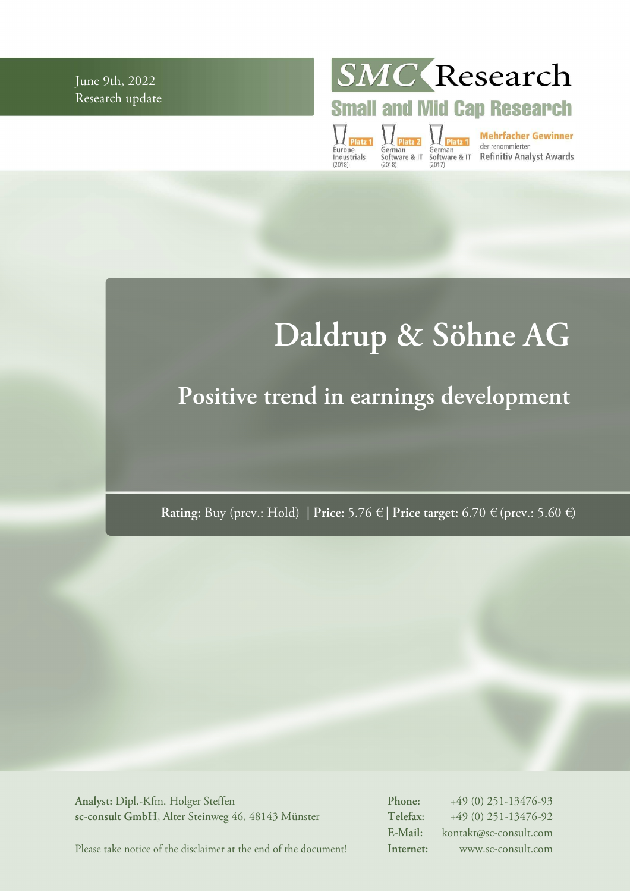June 9th, 2022 Research update **SMC** Research

**Small and Mid Cap Research** 

Europe<br>Industrials

German<br>
German<br>
Software & IT Software & IT Refinitiv Analyst Awards<br>
(2018)<br>
(2018)

# **Daldrup & Söhne AG**

# **Positive trend in earnings development**

**Rating:** Buy (prev.: Hold) | **Price:** 5.76 € | **Price target:** 6.70 € (prev.: 5.60 €)

**Analyst:** Dipl.-Kfm. Holger Steffen **sc-consult GmbH**, Alter Steinweg 46, 48143 Münster **Phone:** +49 (0) 251-13476-93 **Telefax:** +49 (0) 251-13476-92 **E-Mail:** kontakt@sc-consult.com **Internet:** www.sc-consult.com

Please take notice of the disclaimer at the end of the document!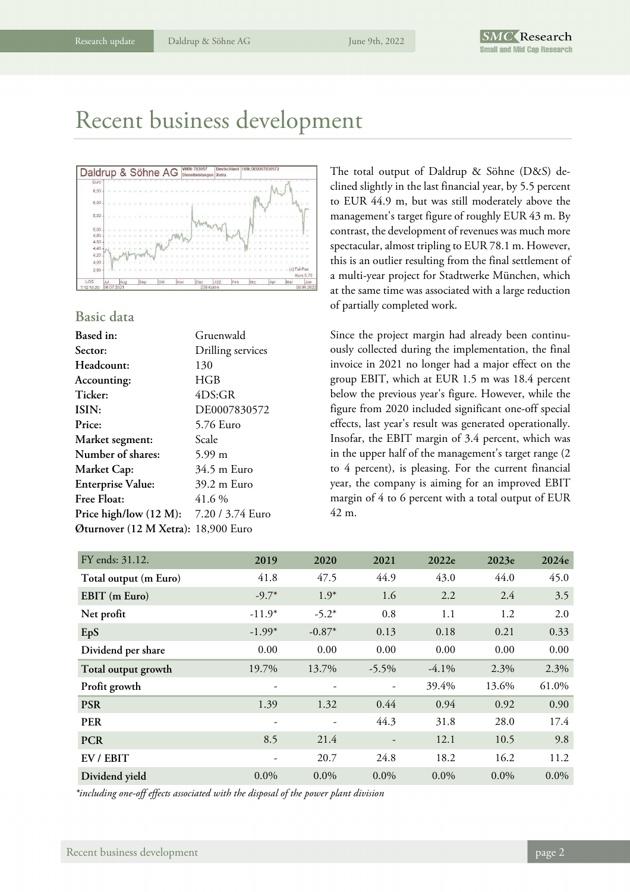# Recent business development



#### **Basic data**

| Gruenwald                               |
|-----------------------------------------|
| Drilling services                       |
| 130                                     |
| HGB                                     |
| 4DS:GR                                  |
| DE0007830572                            |
| 5.76 Euro                               |
| Scale                                   |
| $5.99 \text{ m}$                        |
| 34.5 m Euro                             |
| 39.2 m Euro                             |
| 41.6%                                   |
| Price high/low (12 M): 7.20 / 3.74 Euro |
| Øturnover (12 M Xetra): 18,900 Euro     |
|                                         |

The total output of Daldrup & Söhne (D&S) declined slightly in the last financial year, by 5.5 percent to EUR 44.9 m, but was still moderately above the management's target figure of roughly EUR 43 m. By contrast, the development of revenues was much more spectacular, almost tripling to EUR 78.1 m. However, this is an outlier resulting from the final settlement of a multi-year project for Stadtwerke München, which at the same time was associated with a large reduction of partially completed work.

Since the project margin had already been continuously collected during the implementation, the final invoice in 2021 no longer had a major effect on the group EBIT, which at EUR 1.5 m was 18.4 percent below the previous year's figure. However, while the figure from 2020 included significant one-off special effects, last year's result was generated operationally. Insofar, the EBIT margin of 3.4 percent, which was in the upper half of the management's target range (2 to 4 percent), is pleasing. For the current financial year, the company is aiming for an improved EBIT margin of 4 to 6 percent with a total output of EUR 42 m.

| FY ends: 31.12.       | 2019                     | 2020                     | 2021     | 2022e    | 2023e   | 2024e   |
|-----------------------|--------------------------|--------------------------|----------|----------|---------|---------|
|                       |                          |                          |          |          |         |         |
| Total output (m Euro) | 41.8                     | 47.5                     | 44.9     | 43.0     | 44.0    | 45.0    |
| EBIT (m Euro)         | $-9.7*$                  | $1.9*$                   | 1.6      | 2.2      | 2.4     | 3.5     |
| Net profit            | $-11.9*$                 | $-5.2*$                  | 0.8      | 1.1      | 1.2     | 2.0     |
| EpS                   | $-1.99*$                 | $-0.87*$                 | 0.13     | 0.18     | 0.21    | 0.33    |
| Dividend per share    | 0.00                     | 0.00                     | 0.00     | 0.00     | 0.00    | 0.00    |
| Total output growth   | 19.7%                    | 13.7%                    | $-5.5\%$ | $-4.1\%$ | 2.3%    | 2.3%    |
| Profit growth         | ۰                        |                          | ۰        | 39.4%    | 13.6%   | 61.0%   |
| <b>PSR</b>            | 1.39                     | 1.32                     | 0.44     | 0.94     | 0.92    | 0.90    |
| <b>PER</b>            | $\overline{\phantom{a}}$ | $\overline{\phantom{a}}$ | 44.3     | 31.8     | 28.0    | 17.4    |
| <b>PCR</b>            | 8.5                      | 21.4                     |          | 12.1     | 10.5    | 9.8     |
| EV / EBIT             | -                        | 20.7                     | 24.8     | 18.2     | 16.2    | 11.2    |
| Dividend yield        | $0.0\%$                  | $0.0\%$                  | $0.0\%$  | $0.0\%$  | $0.0\%$ | $0.0\%$ |

*\*including one-off effects associated with the disposal of the power plant division*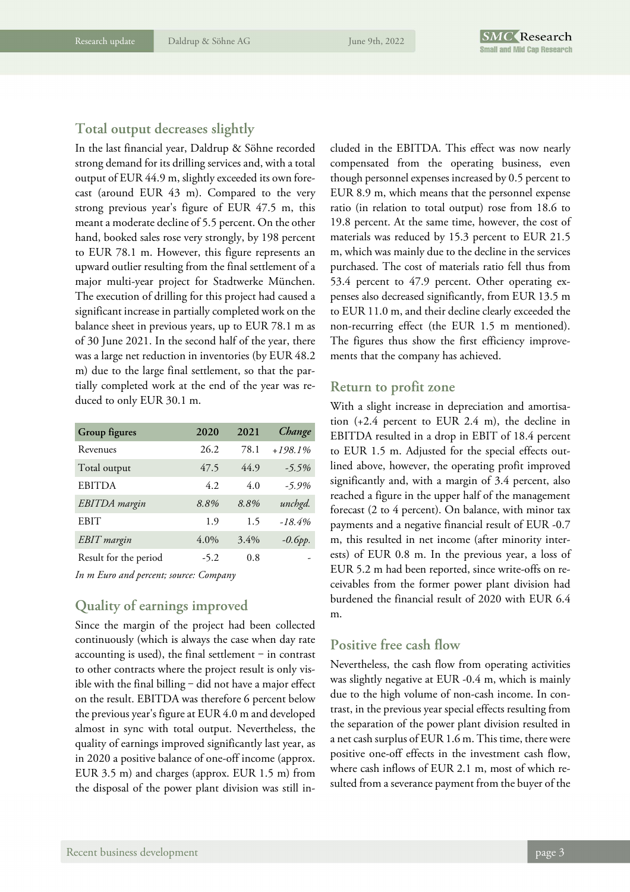### **Total output decreases slightly**

In the last financial year, Daldrup & Söhne recorded strong demand for its drilling services and, with a total output of EUR 44.9 m, slightly exceeded its own forecast (around EUR 43 m). Compared to the very strong previous year's figure of EUR 47.5 m, this meant a moderate decline of 5.5 percent. On the other hand, booked sales rose very strongly, by 198 percent to EUR 78.1 m. However, this figure represents an upward outlier resulting from the final settlement of a major multi-year project for Stadtwerke München. The execution of drilling for this project had caused a significant increase in partially completed work on the balance sheet in previous years, up to EUR 78.1 m as of 30 June 2021. In the second half of the year, there was a large net reduction in inventories (by EUR 48.2 m) due to the large final settlement, so that the partially completed work at the end of the year was reduced to only EUR 30.1 m.

| Group figures         | 2020    | 2021    | Change    |
|-----------------------|---------|---------|-----------|
| Revenues              | 26.2    | 78.1    | $+198.1%$ |
| Total output          | 47.5    | 44.9    | $-5.5\%$  |
| <b>EBITDA</b>         | 4.2     | 40      | $-5.9\%$  |
| <b>EBITDA</b> margin  | 8.8%    | 8.8%    | unchgd.   |
| <b>EBIT</b>           | 1.9     | 1.5     | $-18.4%$  |
| <b>EBIT</b> margin    | $4.0\%$ | $3.4\%$ | $-0.6pp.$ |
| Result for the period | $-5.2$  | 0.8     |           |

*In m Euro and percent; source: Company* 

### **Quality of earnings improved**

Since the margin of the project had been collected continuously (which is always the case when day rate accounting is used), the final settlement  $-$  in contrast to other contracts where the project result is only visible with the final billing  $-$  did not have a major effect on the result. EBITDA was therefore 6 percent below the previous year's figure at EUR 4.0 m and developed almost in sync with total output. Nevertheless, the quality of earnings improved significantly last year, as in 2020 a positive balance of one-off income (approx. EUR 3.5 m) and charges (approx. EUR 1.5 m) from the disposal of the power plant division was still included in the EBITDA. This effect was now nearly compensated from the operating business, even though personnel expenses increased by 0.5 percent to EUR 8.9 m, which means that the personnel expense ratio (in relation to total output) rose from 18.6 to 19.8 percent. At the same time, however, the cost of materials was reduced by 15.3 percent to EUR 21.5 m, which was mainly due to the decline in the services purchased. The cost of materials ratio fell thus from 53.4 percent to 47.9 percent. Other operating expenses also decreased significantly, from EUR 13.5 m to EUR 11.0 m, and their decline clearly exceeded the non-recurring effect (the EUR 1.5 m mentioned). The figures thus show the first efficiency improvements that the company has achieved.

#### **Return to profit zone**

With a slight increase in depreciation and amortisation (+2.4 percent to EUR 2.4 m), the decline in EBITDA resulted in a drop in EBIT of 18.4 percent to EUR 1.5 m. Adjusted for the special effects outlined above, however, the operating profit improved significantly and, with a margin of 3.4 percent, also reached a figure in the upper half of the management forecast (2 to 4 percent). On balance, with minor tax payments and a negative financial result of EUR -0.7 m, this resulted in net income (after minority interests) of EUR 0.8 m. In the previous year, a loss of EUR 5.2 m had been reported, since write-offs on receivables from the former power plant division had burdened the financial result of 2020 with EUR 6.4 m.

#### **Positive free cash flow**

Nevertheless, the cash flow from operating activities was slightly negative at EUR -0.4 m, which is mainly due to the high volume of non-cash income. In contrast, in the previous year special effects resulting from the separation of the power plant division resulted in a net cash surplus of EUR 1.6 m. This time, there were positive one-off effects in the investment cash flow, where cash inflows of EUR 2.1 m, most of which resulted from a severance payment from the buyer of the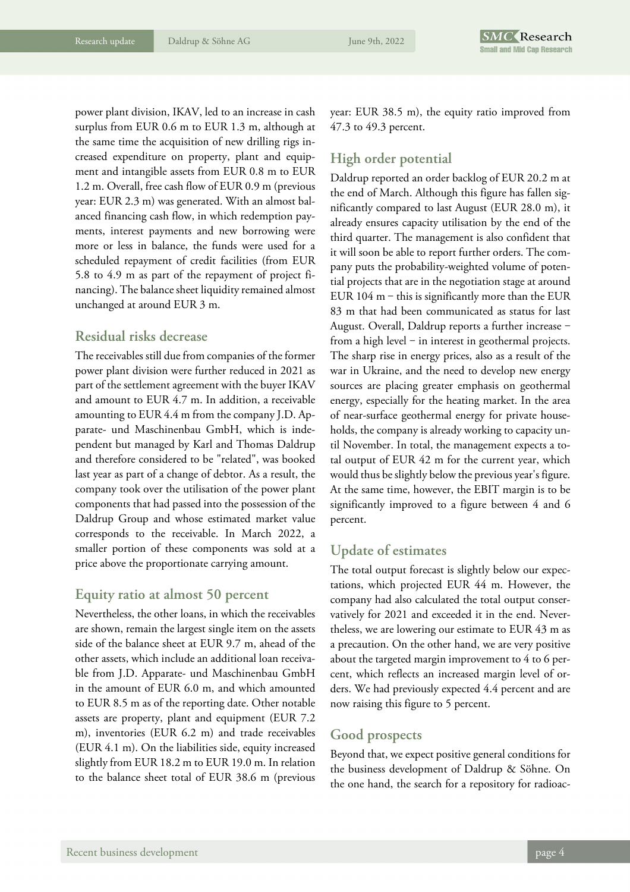power plant division, IKAV, led to an increase in cash surplus from EUR 0.6 m to EUR 1.3 m, although at the same time the acquisition of new drilling rigs increased expenditure on property, plant and equipment and intangible assets from EUR 0.8 m to EUR 1.2 m. Overall, free cash flow of EUR 0.9 m (previous year: EUR 2.3 m) was generated. With an almost balanced financing cash flow, in which redemption payments, interest payments and new borrowing were more or less in balance, the funds were used for a scheduled repayment of credit facilities (from EUR 5.8 to 4.9 m as part of the repayment of project financing). The balance sheet liquidity remained almost unchanged at around EUR 3 m.

### **Residual risks decrease**

The receivables still due from companies of the former power plant division were further reduced in 2021 as part of the settlement agreement with the buyer IKAV and amount to EUR 4.7 m. In addition, a receivable amounting to EUR 4.4 m from the company J.D. Apparate- und Maschinenbau GmbH, which is independent but managed by Karl and Thomas Daldrup and therefore considered to be "related", was booked last year as part of a change of debtor. As a result, the company took over the utilisation of the power plant components that had passed into the possession of the Daldrup Group and whose estimated market value corresponds to the receivable. In March 2022, a smaller portion of these components was sold at a price above the proportionate carrying amount.

#### **Equity ratio at almost 50 percent**

Nevertheless, the other loans, in which the receivables are shown, remain the largest single item on the assets side of the balance sheet at EUR 9.7 m, ahead of the other assets, which include an additional loan receivable from J.D. Apparate- und Maschinenbau GmbH in the amount of EUR 6.0 m, and which amounted to EUR 8.5 m as of the reporting date. Other notable assets are property, plant and equipment (EUR 7.2 m), inventories (EUR 6.2 m) and trade receivables (EUR 4.1 m). On the liabilities side, equity increased slightly from EUR 18.2 m to EUR 19.0 m. In relation to the balance sheet total of EUR 38.6 m (previous year: EUR 38.5 m), the equity ratio improved from 47.3 to 49.3 percent.

# **High order potential**

Daldrup reported an order backlog of EUR 20.2 m at the end of March. Although this figure has fallen significantly compared to last August (EUR 28.0 m), it already ensures capacity utilisation by the end of the third quarter. The management is also confident that it will soon be able to report further orders. The company puts the probability-weighted volume of potential projects that are in the negotiation stage at around EUR  $104$  m – this is significantly more than the EUR 83 m that had been communicated as status for last August. Overall, Daldrup reports a further increase from a high level  $-$  in interest in geothermal projects. The sharp rise in energy prices, also as a result of the war in Ukraine, and the need to develop new energy sources are placing greater emphasis on geothermal energy, especially for the heating market. In the area of near-surface geothermal energy for private households, the company is already working to capacity until November. In total, the management expects a total output of EUR 42 m for the current year, which would thus be slightly below the previous year's figure. At the same time, however, the EBIT margin is to be significantly improved to a figure between 4 and 6 percent.

# **Update of estimates**

The total output forecast is slightly below our expectations, which projected EUR 44 m. However, the company had also calculated the total output conservatively for 2021 and exceeded it in the end. Nevertheless, we are lowering our estimate to EUR 43 m as a precaution. On the other hand, we are very positive about the targeted margin improvement to 4 to 6 percent, which reflects an increased margin level of orders. We had previously expected 4.4 percent and are now raising this figure to 5 percent.

### **Good prospects**

Beyond that, we expect positive general conditions for the business development of Daldrup & Söhne. On the one hand, the search for a repository for radioac-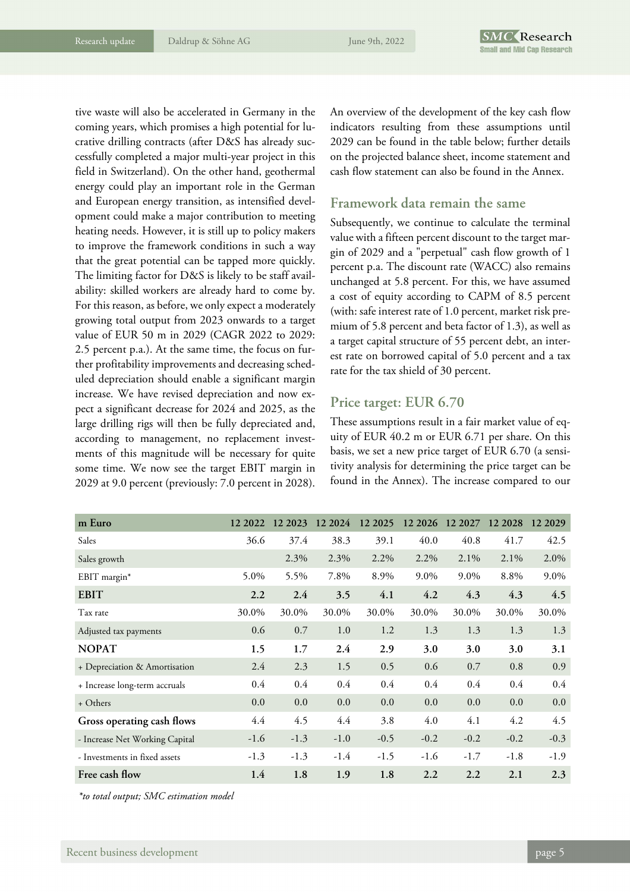tive waste will also be accelerated in Germany in the coming years, which promises a high potential for lucrative drilling contracts (after D&S has already successfully completed a major multi-year project in this field in Switzerland). On the other hand, geothermal energy could play an important role in the German and European energy transition, as intensified development could make a major contribution to meeting heating needs. However, it is still up to policy makers to improve the framework conditions in such a way that the great potential can be tapped more quickly. The limiting factor for D&S is likely to be staff availability: skilled workers are already hard to come by. For this reason, as before, we only expect a moderately growing total output from 2023 onwards to a target value of EUR 50 m in 2029 (CAGR 2022 to 2029: 2.5 percent p.a.). At the same time, the focus on further profitability improvements and decreasing scheduled depreciation should enable a significant margin increase. We have revised depreciation and now expect a significant decrease for 2024 and 2025, as the large drilling rigs will then be fully depreciated and, according to management, no replacement investments of this magnitude will be necessary for quite some time. We now see the target EBIT margin in 2029 at 9.0 percent (previously: 7.0 percent in 2028).

An overview of the development of the key cash flow indicators resulting from these assumptions until 2029 can be found in the table below; further details on the projected balance sheet, income statement and cash flow statement can also be found in the Annex.

#### **Framework data remain the same**

Subsequently, we continue to calculate the terminal value with a fifteen percent discount to the target margin of 2029 and a "perpetual" cash flow growth of 1 percent p.a. The discount rate (WACC) also remains unchanged at 5.8 percent. For this, we have assumed a cost of equity according to CAPM of 8.5 percent (with: safe interest rate of 1.0 percent, market risk premium of 5.8 percent and beta factor of 1.3), as well as a target capital structure of 55 percent debt, an interest rate on borrowed capital of 5.0 percent and a tax rate for the tax shield of 30 percent.

### **Price target: EUR 6.70**

These assumptions result in a fair market value of equity of EUR 40.2 m or EUR 6.71 per share. On this basis, we set a new price target of EUR 6.70 (a sensitivity analysis for determining the price target can be found in the Annex). The increase compared to our

| m Euro                         | 12 2022 | 12 2023 | 12 2024 | 12 2025 | 12 20 26 | 12 2027 | 12 2028 | 12 20 29 |
|--------------------------------|---------|---------|---------|---------|----------|---------|---------|----------|
| Sales                          | 36.6    | 37.4    | 38.3    | 39.1    | 40.0     | 40.8    | 41.7    | 42.5     |
| Sales growth                   |         | 2.3%    | 2.3%    | 2.2%    | 2.2%     | $2.1\%$ | $2.1\%$ | 2.0%     |
| EBIT margin*                   | 5.0%    | 5.5%    | 7.8%    | 8.9%    | 9.0%     | 9.0%    | 8.8%    | 9.0%     |
| <b>EBIT</b>                    | 2.2     | 2.4     | 3.5     | 4.1     | 4.2      | 4.3     | 4.3     | 4.5      |
| Tax rate                       | 30.0%   | 30.0%   | 30.0%   | 30.0%   | 30.0%    | 30.0%   | 30.0%   | 30.0%    |
| Adjusted tax payments          | 0.6     | 0.7     | 1.0     | 1.2     | 1.3      | 1.3     | 1.3     | 1.3      |
| <b>NOPAT</b>                   | 1.5     | 1.7     | 2.4     | 2.9     | 3.0      | 3.0     | 3.0     | 3.1      |
| + Depreciation & Amortisation  | 2.4     | 2.3     | 1.5     | 0.5     | 0.6      | 0.7     | 0.8     | 0.9      |
| + Increase long-term accruals  | 0.4     | 0.4     | 0.4     | 0.4     | 0.4      | 0.4     | 0.4     | 0.4      |
| + Others                       | 0.0     | 0.0     | 0.0     | 0.0     | 0.0      | 0.0     | 0.0     | 0.0      |
| Gross operating cash flows     | 4.4     | 4.5     | 4.4     | 3.8     | 4.0      | 4.1     | 4.2     | 4.5      |
| - Increase Net Working Capital | $-1.6$  | $-1.3$  | $-1.0$  | $-0.5$  | $-0.2$   | $-0.2$  | $-0.2$  | $-0.3$   |
| - Investments in fixed assets  | $-1.3$  | $-1.3$  | $-1.4$  | $-1.5$  | $-1.6$   | $-1.7$  | $-1.8$  | $-1.9$   |
| Free cash flow                 | 1.4     | 1.8     | 1.9     | 1.8     | 2.2      | 2.2     | 2.1     | 2.3      |

*\*to total output; SMC estimation model*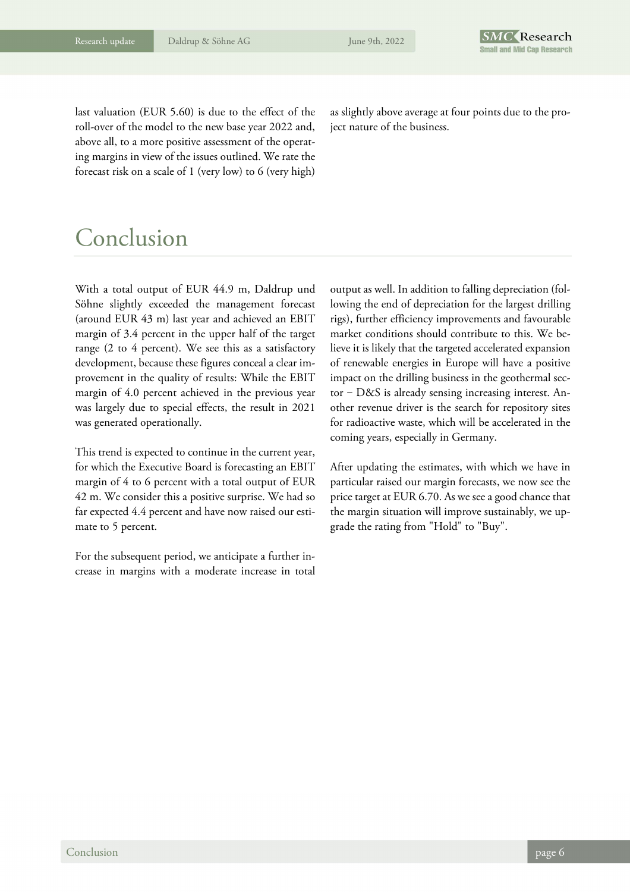last valuation (EUR 5.60) is due to the effect of the roll-over of the model to the new base year 2022 and, above all, to a more positive assessment of the operating margins in view of the issues outlined. We rate the forecast risk on a scale of 1 (very low) to 6 (very high)

as slightly above average at four points due to the project nature of the business.

# Conclusion

With a total output of EUR 44.9 m, Daldrup und Söhne slightly exceeded the management forecast (around EUR 43 m) last year and achieved an EBIT margin of 3.4 percent in the upper half of the target range (2 to 4 percent). We see this as a satisfactory development, because these figures conceal a clear improvement in the quality of results: While the EBIT margin of 4.0 percent achieved in the previous year was largely due to special effects, the result in 2021 was generated operationally.

This trend is expected to continue in the current year, for which the Executive Board is forecasting an EBIT margin of 4 to 6 percent with a total output of EUR 42 m. We consider this a positive surprise. We had so far expected 4.4 percent and have now raised our estimate to 5 percent.

For the subsequent period, we anticipate a further increase in margins with a moderate increase in total output as well. In addition to falling depreciation (following the end of depreciation for the largest drilling rigs), further efficiency improvements and favourable market conditions should contribute to this. We believe it is likely that the targeted accelerated expansion of renewable energies in Europe will have a positive impact on the drilling business in the geothermal sector  $-D\&S$  is already sensing increasing interest. Another revenue driver is the search for repository sites for radioactive waste, which will be accelerated in the coming years, especially in Germany.

After updating the estimates, with which we have in particular raised our margin forecasts, we now see the price target at EUR 6.70. As we see a good chance that the margin situation will improve sustainably, we upgrade the rating from "Hold" to "Buy".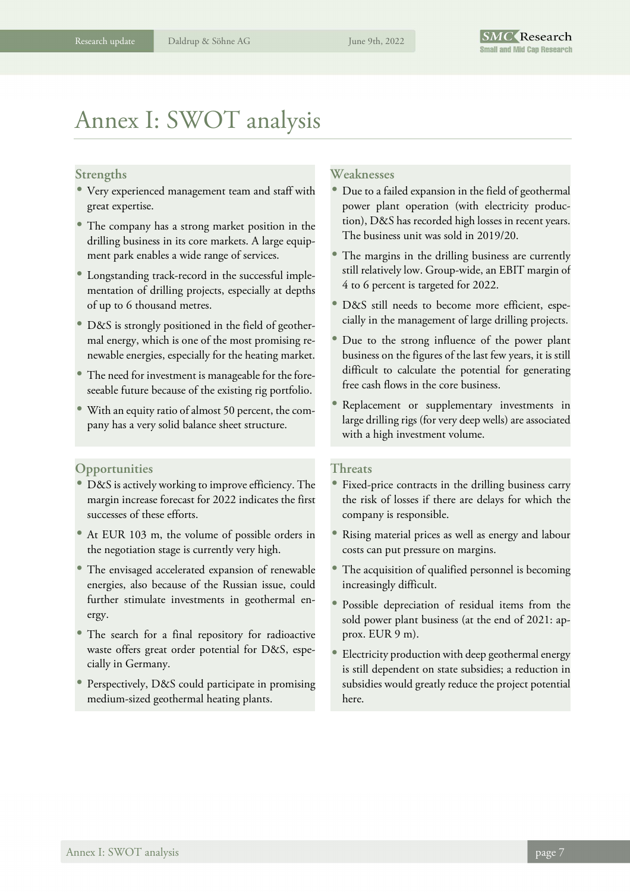# Annex I: SWOT analysis

#### **Strengths**

- Very experienced management team and staff with great expertise.
- The company has a strong market position in the drilling business in its core markets. A large equipment park enables a wide range of services.
- Longstanding track-record in the successful implementation of drilling projects, especially at depths of up to 6 thousand metres.
- D&S is strongly positioned in the field of geothermal energy, which is one of the most promising renewable energies, especially for the heating market.
- The need for investment is manageable for the foreseeable future because of the existing rig portfolio.
- With an equity ratio of almost 50 percent, the company has a very solid balance sheet structure.

#### **Opportunities**

- D&S is actively working to improve efficiency. The margin increase forecast for 2022 indicates the first successes of these efforts.
- At EUR 103 m, the volume of possible orders in the negotiation stage is currently very high.
- The envisaged accelerated expansion of renewable energies, also because of the Russian issue, could further stimulate investments in geothermal energy.
- The search for a final repository for radioactive waste offers great order potential for D&S, especially in Germany.
- Perspectively, D&S could participate in promising medium-sized geothermal heating plants.

#### **Weaknesses**

- Due to a failed expansion in the field of geothermal power plant operation (with electricity production), D&S has recorded high losses in recent years. The business unit was sold in 2019/20.
- The margins in the drilling business are currently still relatively low. Group-wide, an EBIT margin of 4 to 6 percent is targeted for 2022.
- D&S still needs to become more efficient, especially in the management of large drilling projects.
- Due to the strong influence of the power plant business on the figures of the last few years, it is still difficult to calculate the potential for generating free cash flows in the core business.
- Replacement or supplementary investments in large drilling rigs (for very deep wells) are associated with a high investment volume.

#### **Threats**

- Fixed-price contracts in the drilling business carry the risk of losses if there are delays for which the company is responsible.
- Rising material prices as well as energy and labour costs can put pressure on margins.
- The acquisition of qualified personnel is becoming increasingly difficult.
- Possible depreciation of residual items from the sold power plant business (at the end of 2021: approx. EUR 9 m).
- Electricity production with deep geothermal energy is still dependent on state subsidies; a reduction in subsidies would greatly reduce the project potential here.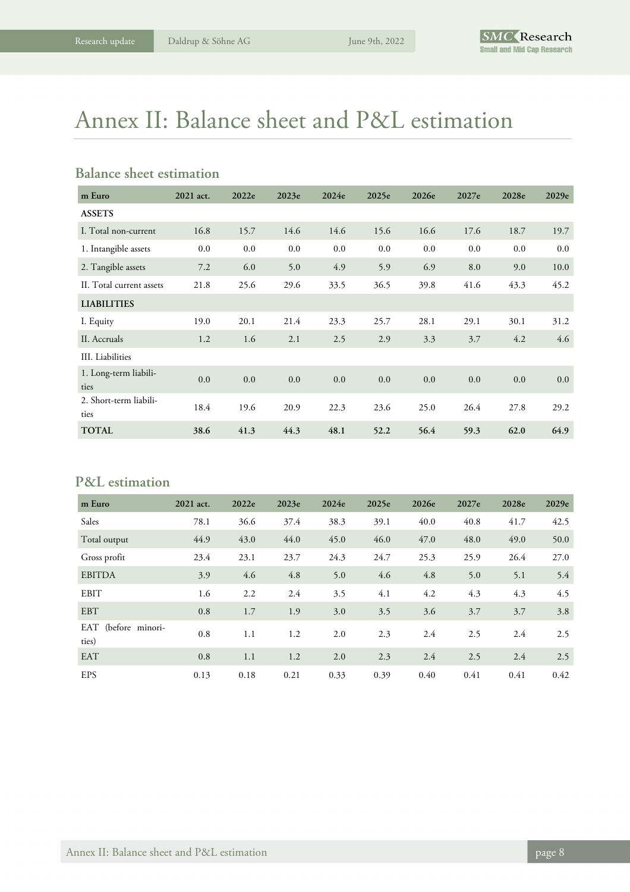# Annex II: Balance sheet and P&L estimation

### **Balance sheet estimation**

| m Euro                         | 2021 act. | 2022e | 2023e | 2024e | 2025e | 2026e | 2027e | 2028e | 2029e |
|--------------------------------|-----------|-------|-------|-------|-------|-------|-------|-------|-------|
| <b>ASSETS</b>                  |           |       |       |       |       |       |       |       |       |
| I. Total non-current           | 16.8      | 15.7  | 14.6  | 14.6  | 15.6  | 16.6  | 17.6  | 18.7  | 19.7  |
| 1. Intangible assets           | 0.0       | 0.0   | 0.0   | 0.0   | 0.0   | 0.0   | 0.0   | 0.0   | 0.0   |
| 2. Tangible assets             | 7.2       | 6.0   | 5.0   | 4.9   | 5.9   | 6.9   | 8.0   | 9.0   | 10.0  |
| II. Total current assets       | 21.8      | 25.6  | 29.6  | 33.5  | 36.5  | 39.8  | 41.6  | 43.3  | 45.2  |
| <b>LIABILITIES</b>             |           |       |       |       |       |       |       |       |       |
| I. Equity                      | 19.0      | 20.1  | 21.4  | 23.3  | 25.7  | 28.1  | 29.1  | 30.1  | 31.2  |
| II. Accruals                   | 1.2       | 1.6   | 2.1   | 2.5   | 2.9   | 3.3   | 3.7   | 4.2   | 4.6   |
| III. Liabilities               |           |       |       |       |       |       |       |       |       |
| 1. Long-term liabili-<br>ties  | 0.0       | 0.0   | 0.0   | 0.0   | 0.0   | 0.0   | 0.0   | 0.0   | 0.0   |
| 2. Short-term liabili-<br>ties | 18.4      | 19.6  | 20.9  | 22.3  | 23.6  | 25.0  | 26.4  | 27.8  | 29.2  |
| <b>TOTAL</b>                   | 38.6      | 41.3  | 44.3  | 48.1  | 52.2  | 56.4  | 59.3  | 62.0  | 64.9  |

# **P&L estimation**

| m Euro                       | 2021 act. | 2022e | 2023e | 2024e | 2025e | 2026e | 2027e | 2028e | 2029e |
|------------------------------|-----------|-------|-------|-------|-------|-------|-------|-------|-------|
| Sales                        | 78.1      | 36.6  | 37.4  | 38.3  | 39.1  | 40.0  | 40.8  | 41.7  | 42.5  |
| Total output                 | 44.9      | 43.0  | 44.0  | 45.0  | 46.0  | 47.0  | 48.0  | 49.0  | 50.0  |
| Gross profit                 | 23.4      | 23.1  | 23.7  | 24.3  | 24.7  | 25.3  | 25.9  | 26.4  | 27.0  |
| <b>EBITDA</b>                | 3.9       | 4.6   | 4.8   | 5.0   | 4.6   | 4.8   | 5.0   | 5.1   | 5.4   |
| <b>EBIT</b>                  | 1.6       | 2.2   | 2.4   | 3.5   | 4.1   | 4.2   | 4.3   | 4.3   | 4.5   |
| <b>EBT</b>                   | 0.8       | 1.7   | 1.9   | 3.0   | 3.5   | 3.6   | 3.7   | 3.7   | 3.8   |
| EAT (before minori-<br>ties) | 0.8       | 1.1   | 1.2   | 2.0   | 2.3   | 2.4   | 2.5   | 2.4   | 2.5   |
| <b>EAT</b>                   | 0.8       | 1.1   | 1.2   | 2.0   | 2.3   | 2.4   | 2.5   | 2.4   | 2.5   |
| <b>EPS</b>                   | 0.13      | 0.18  | 0.21  | 0.33  | 0.39  | 0.40  | 0.41  | 0.41  | 0.42  |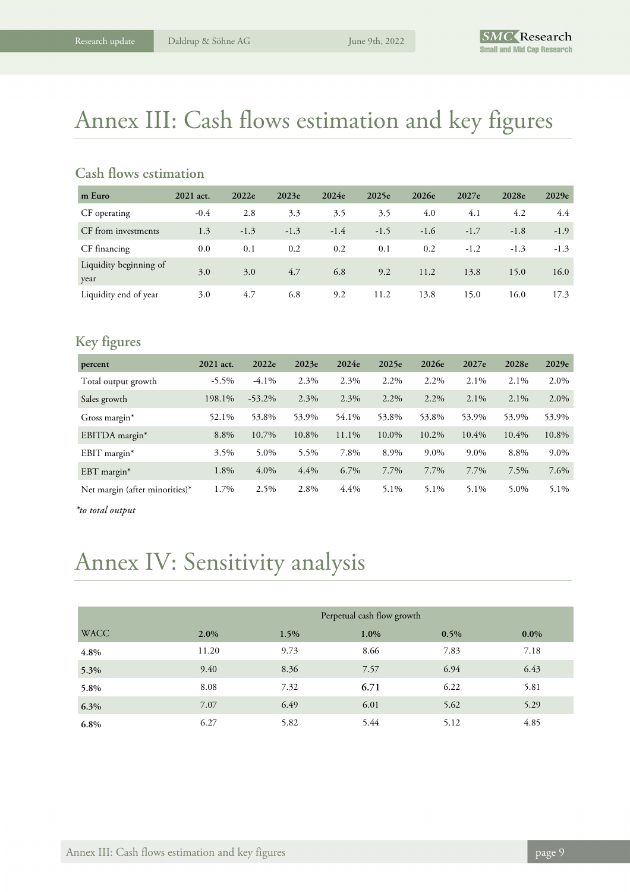# Annex III: Cash flows estimation and key figures

# **Cash flows estimation**

| m Euro                         | 2021 act. | 2022e  | 2023e  | 2024e  | 2025e  | 2026e  | 2027e  | 2028e  | 2029e  |
|--------------------------------|-----------|--------|--------|--------|--------|--------|--------|--------|--------|
| CF operating                   | $-0.4$    | 2.8    | 3.3    | 3.5    | 3.5    | 4.0    | 4.1    | 4.2    | 4.4    |
| CF from investments            | 1.3       | $-1.3$ | $-1.3$ | $-1.4$ | $-1.5$ | $-1.6$ | $-1.7$ | $-1.8$ | $-1.9$ |
| CF financing                   | 0.0       | 0.1    | 0.2    | 0.2    | 0.1    | 0.2    | $-1.2$ | $-1.3$ | $-1.3$ |
| Liquidity beginning of<br>year | 3.0       | 3.0    | 4.7    | 6.8    | 9.2    | 11.2   | 13.8   | 15.0   | 16.0   |
| Liquidity end of year          | 3.0       | 4.7    | 6.8    | 9.2    | 11.2   | 13.8   | 15.0   | 16.0   | 17.3   |

# **Key figures**

| percent                        | 2021 act. | 2022e     | 2023e | 2024e | 2025e   | 2026e   | 2027e    | 2028e | 2029e |
|--------------------------------|-----------|-----------|-------|-------|---------|---------|----------|-------|-------|
| Total output growth            | $-5.5\%$  | $-4.1\%$  | 2.3%  | 2.3%  | 2.2%    | 2.2%    | 2.1%     | 2.1%  | 2.0%  |
| Sales growth                   | 198.1%    | $-53.2\%$ | 2.3%  | 2.3%  | $2.2\%$ | $2.2\%$ | $2.1\%$  | 2.1%  | 2.0%  |
| Gross margin <sup>*</sup>      | 52.1%     | 53.8%     | 53.9% | 54.1% | 53.8%   | 53.8%   | 53.9%    | 53.9% | 53.9% |
| EBITDA margin*                 | 8.8%      | 10.7%     | 10.8% | 11.1% | 10.0%   | 10.2%   | $10.4\%$ | 10.4% | 10.8% |
| EBIT margin $*$                | 3.5%      | 5.0%      | 5.5%  | 7.8%  | 8.9%    | $9.0\%$ | 9.0%     | 8.8%  | 9.0%  |
| $EBT$ margin*                  | 1.8%      | 4.0%      | 4.4%  | 6.7%  | 7.7%    | 7.7%    | 7.7%     | 7.5%  | 7.6%  |
| Net margin (after minorities)* | 1.7%      | 2.5%      | 2.8%  | 4.4%  | 5.1%    | 5.1%    | 5.1%     | 5.0%  | 5.1%  |

*\*to total output* 

# Annex IV: Sensitivity analysis

|             |         |      | Perpetual cash flow growth |      |         |
|-------------|---------|------|----------------------------|------|---------|
| <b>WACC</b> | $2.0\%$ | 1.5% | 1.0%                       | 0.5% | $0.0\%$ |
| 4.8%        | 11.20   | 9.73 | 8.66                       | 7.83 | 7.18    |
| 5.3%        | 9.40    | 8.36 | 7.57                       | 6.94 | 6.43    |
| 5.8%        | 8.08    | 7.32 | 6.71                       | 6.22 | 5.81    |
| 6.3%        | 7.07    | 6.49 | 6.01                       | 5.62 | 5.29    |
| 6.8%        | 6.27    | 5.82 | 5.44                       | 5.12 | 4.85    |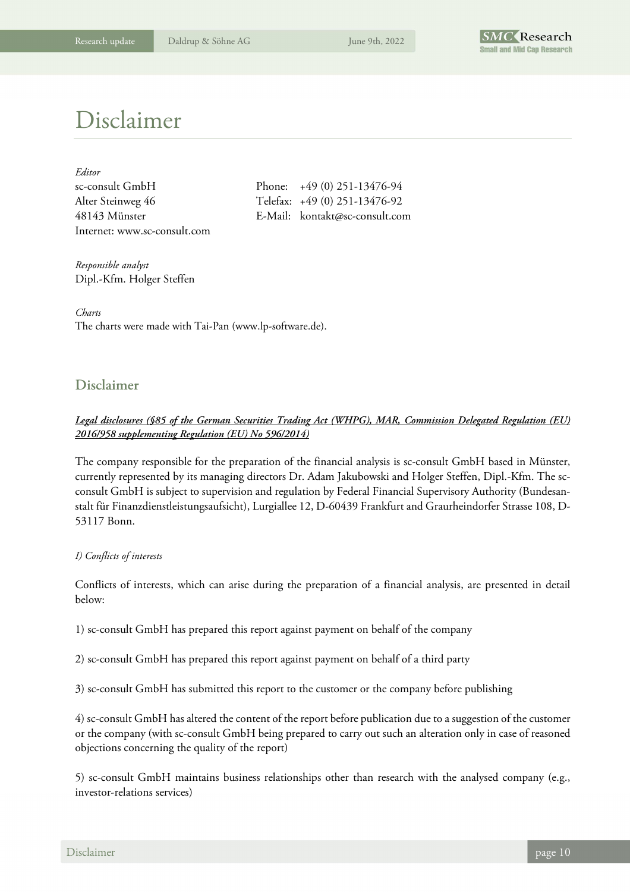

# Disclaimer

| Editor                       |
|------------------------------|
| sc-consult GmbH              |
| Alter Steinweg 46            |
| 48143 Münster                |
| Internet: www.sc-consult.com |

Phone:  $+49 (0) 251-13476-94$ Telefax: +49 (0) 251-13476-92 E-Mail: kontakt@sc-consult.com

*Responsible analyst*  Dipl.-Kfm. Holger Steffen

*Charts*  The charts were made with Tai-Pan (www.lp-software.de).

### **Disclaimer**

#### *Legal disclosures (§85 of the German Securities Trading Act (WHPG), MAR, Commission Delegated Regulation (EU) 2016/958 supplementing Regulation (EU) No 596/2014)*

The company responsible for the preparation of the financial analysis is sc-consult GmbH based in Münster, currently represented by its managing directors Dr. Adam Jakubowski and Holger Steffen, Dipl.-Kfm. The scconsult GmbH is subject to supervision and regulation by Federal Financial Supervisory Authority (Bundesanstalt für Finanzdienstleistungsaufsicht), Lurgiallee 12, D-60439 Frankfurt and Graurheindorfer Strasse 108, D-53117 Bonn.

#### *I) Conflicts of interests*

Conflicts of interests, which can arise during the preparation of a financial analysis, are presented in detail below:

1) sc-consult GmbH has prepared this report against payment on behalf of the company

2) sc-consult GmbH has prepared this report against payment on behalf of a third party

3) sc-consult GmbH has submitted this report to the customer or the company before publishing

4) sc-consult GmbH has altered the content of the report before publication due to a suggestion of the customer or the company (with sc-consult GmbH being prepared to carry out such an alteration only in case of reasoned objections concerning the quality of the report)

5) sc-consult GmbH maintains business relationships other than research with the analysed company (e.g., investor-relations services)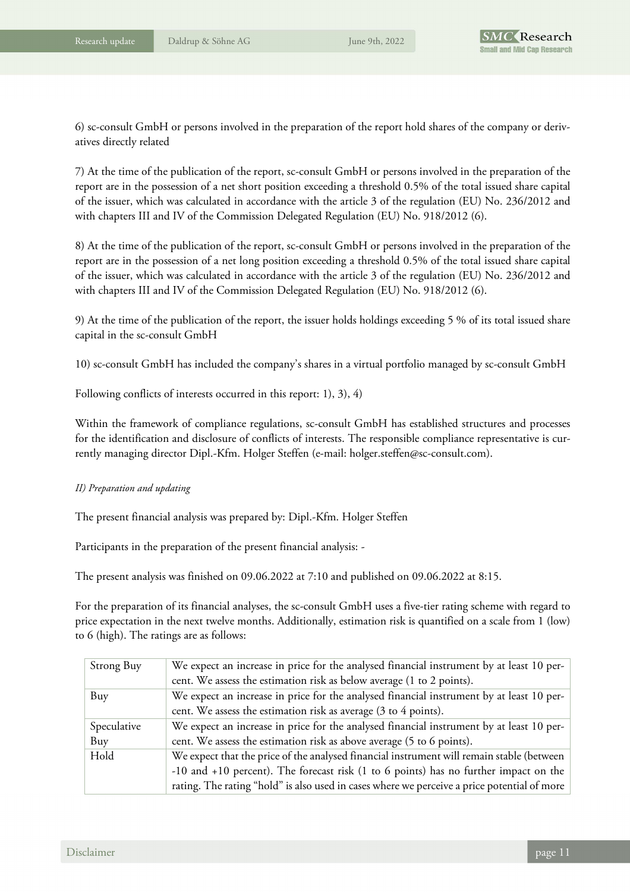6) sc-consult GmbH or persons involved in the preparation of the report hold shares of the company or derivatives directly related

7) At the time of the publication of the report, sc-consult GmbH or persons involved in the preparation of the report are in the possession of a net short position exceeding a threshold 0.5% of the total issued share capital of the issuer, which was calculated in accordance with the article 3 of the regulation (EU) No. 236/2012 and with chapters III and IV of the Commission Delegated Regulation (EU) No. 918/2012 (6).

8) At the time of the publication of the report, sc-consult GmbH or persons involved in the preparation of the report are in the possession of a net long position exceeding a threshold 0.5% of the total issued share capital of the issuer, which was calculated in accordance with the article 3 of the regulation (EU) No. 236/2012 and with chapters III and IV of the Commission Delegated Regulation (EU) No. 918/2012 (6).

9) At the time of the publication of the report, the issuer holds holdings exceeding 5 % of its total issued share capital in the sc-consult GmbH

10) sc-consult GmbH has included the company's shares in a virtual portfolio managed by sc-consult GmbH

Following conflicts of interests occurred in this report: 1), 3), 4)

Within the framework of compliance regulations, sc-consult GmbH has established structures and processes for the identification and disclosure of conflicts of interests. The responsible compliance representative is currently managing director Dipl.-Kfm. Holger Steffen (e-mail: holger.steffen@sc-consult.com).

#### *II) Preparation and updating*

The present financial analysis was prepared by: Dipl.-Kfm. Holger Steffen

Participants in the preparation of the present financial analysis: -

The present analysis was finished on 09.06.2022 at 7:10 and published on 09.06.2022 at 8:15.

For the preparation of its financial analyses, the sc-consult GmbH uses a five-tier rating scheme with regard to price expectation in the next twelve months. Additionally, estimation risk is quantified on a scale from 1 (low) to 6 (high). The ratings are as follows:

| Strong Buy  | We expect an increase in price for the analysed financial instrument by at least 10 per-    |
|-------------|---------------------------------------------------------------------------------------------|
|             | cent. We assess the estimation risk as below average (1 to 2 points).                       |
| Buy         | We expect an increase in price for the analysed financial instrument by at least 10 per-    |
|             | cent. We assess the estimation risk as average (3 to 4 points).                             |
| Speculative | We expect an increase in price for the analysed financial instrument by at least 10 per-    |
| Buy         | cent. We assess the estimation risk as above average (5 to 6 points).                       |
| Hold        | We expect that the price of the analysed financial instrument will remain stable (between   |
|             | -10 and +10 percent). The forecast risk (1 to 6 points) has no further impact on the        |
|             | rating. The rating "hold" is also used in cases where we perceive a price potential of more |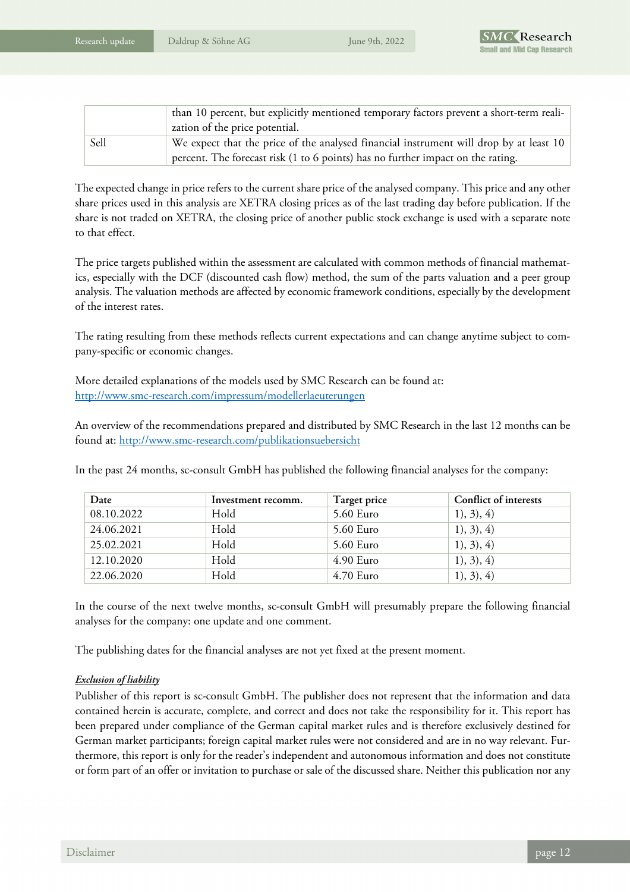|      | than 10 percent, but explicitly mentioned temporary factors prevent a short-term reali-<br>zation of the price potential.                                                 |
|------|---------------------------------------------------------------------------------------------------------------------------------------------------------------------------|
| Sell | We expect that the price of the analysed financial instrument will drop by at least 10<br>percent. The forecast risk (1 to 6 points) has no further impact on the rating. |

The expected change in price refers to the current share price of the analysed company. This price and any other share prices used in this analysis are XETRA closing prices as of the last trading day before publication. If the share is not traded on XETRA, the closing price of another public stock exchange is used with a separate note to that effect.

The price targets published within the assessment are calculated with common methods of financial mathematics, especially with the DCF (discounted cash flow) method, the sum of the parts valuation and a peer group analysis. The valuation methods are affected by economic framework conditions, especially by the development of the interest rates.

The rating resulting from these methods reflects current expectations and can change anytime subject to company-specific or economic changes.

More detailed explanations of the models used by SMC Research can be found at: http://www.smc-research.com/impressum/modellerlaeuterungen

An overview of the recommendations prepared and distributed by SMC Research in the last 12 months can be found at: http://www.smc-research.com/publikationsuebersicht

In the past 24 months, sc-consult GmbH has published the following financial analyses for the company:

| Date       | Investment recomm. | Target price | Conflict of interests |
|------------|--------------------|--------------|-----------------------|
| 08.10.2022 | Hold               | 5.60 Euro    | 1), 3), 4)            |
| 24.06.2021 | Hold               | 5.60 Euro    | 1), 3), 4)            |
| 25.02.2021 | Hold               | 5.60 Euro    | 1), 3), 4)            |
| 12.10.2020 | Hold               | $4.90$ Euro  | 1), 3), 4)            |
| 22.06.2020 | Hold               | $4.70$ Euro  | 1), 3), 4)            |

In the course of the next twelve months, sc-consult GmbH will presumably prepare the following financial analyses for the company: one update and one comment.

The publishing dates for the financial analyses are not yet fixed at the present moment.

#### *Exclusion of liability*

Publisher of this report is sc-consult GmbH. The publisher does not represent that the information and data contained herein is accurate, complete, and correct and does not take the responsibility for it. This report has been prepared under compliance of the German capital market rules and is therefore exclusively destined for German market participants; foreign capital market rules were not considered and are in no way relevant. Furthermore, this report is only for the reader's independent and autonomous information and does not constitute or form part of an offer or invitation to purchase or sale of the discussed share. Neither this publication nor any